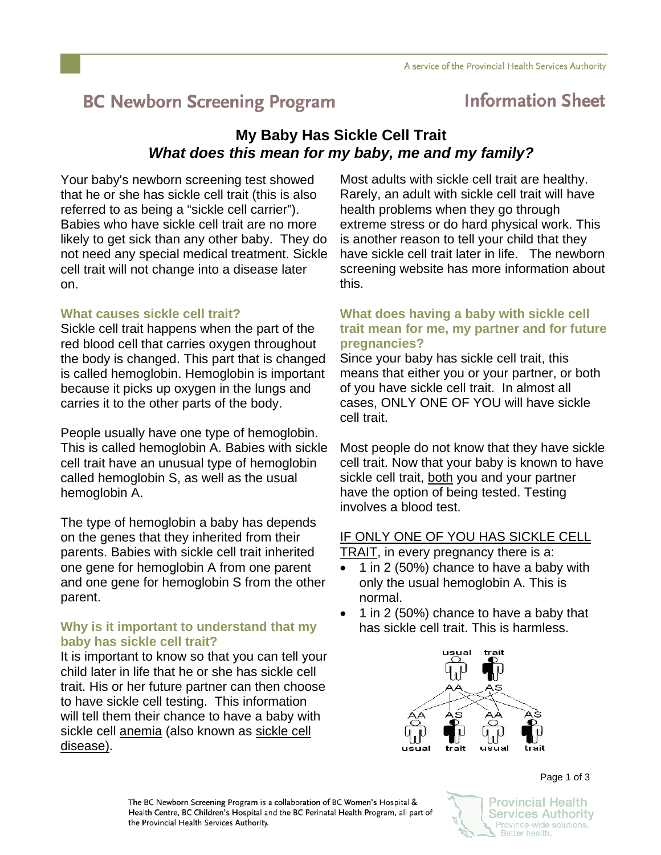# **BC Newborn Screening Program**

## **Information Sheet**

## **My Baby Has Sickle Cell Trait**  *What does this mean for my baby, me and my family?*

Your baby's newborn screening test showed that he or she has sickle cell trait (this is also referred to as being a "sickle cell carrier"). Babies who have sickle cell trait are no more likely to get sick than any other baby. They do not need any special medical treatment. Sickle cell trait will not change into a disease later on.

## **What causes sickle cell trait?**

Sickle cell trait happens when the part of the red blood cell that carries oxygen throughout the body is changed. This part that is changed is called hemoglobin. Hemoglobin is important because it picks up oxygen in the lungs and carries it to the other parts of the body.

People usually have one type of hemoglobin. This is called hemoglobin A. Babies with sickle cell trait have an unusual type of hemoglobin called hemoglobin S, as well as the usual hemoglobin A.

The type of hemoglobin a baby has depends on the genes that they inherited from their parents. Babies with sickle cell trait inherited one gene for hemoglobin A from one parent and one gene for hemoglobin S from the other parent.

## **Why is it important to understand that my baby has sickle cell trait?**

It is important to know so that you can tell your child later in life that he or she has sickle cell trait. His or her future partner can then choose to have sickle cell testing. This information will tell them their chance to have a baby with sickle cell anemia (also known as sickle cell disease).

Most adults with sickle cell trait are healthy. Rarely, an adult with sickle cell trait will have health problems when they go through extreme stress or do hard physical work. This is another reason to tell your child that they have sickle cell trait later in life. The newborn screening website has more information about this.

### **What does having a baby with sickle cell trait mean for me, my partner and for future pregnancies?**

Since your baby has sickle cell trait, this means that either you or your partner, or both of you have sickle cell trait. In almost all cases, ONLY ONE OF YOU will have sickle cell trait.

Most people do not know that they have sickle cell trait. Now that your baby is known to have sickle cell trait, both you and your partner have the option of being tested. Testing involves a blood test.

#### IF ONLY ONE OF YOU HAS SICKLE CELL TRAIT, in every pregnancy there is a:

- 1 in 2 (50%) chance to have a baby with only the usual hemoglobin A. This is normal.
- 1 in 2 (50%) chance to have a baby that has sickle cell trait. This is harmless.



Page 1 of 3

The BC Newborn Screening Program is a collaboration of BC Women's Hospital & Health Centre, BC Children's Hospital and the BC Perinatal Health Program, all part of the Provincial Health Services Authority.

**Provincial Health Services Authority** Province-wide solutions. Better health.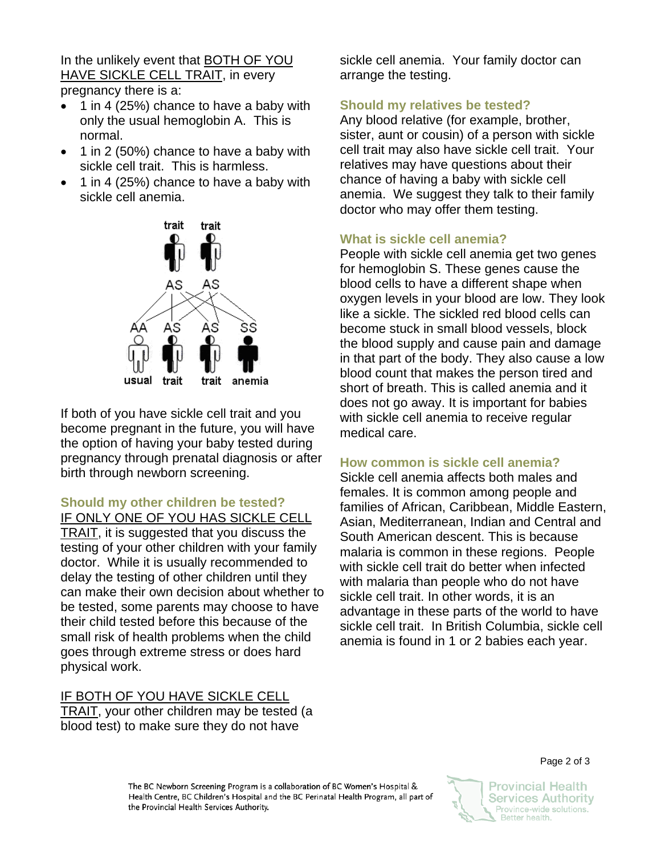In the unlikely event that BOTH OF YOU HAVE SICKLE CELL TRAIT, in every pregnancy there is a:

- 1 in 4 (25%) chance to have a baby with only the usual hemoglobin A. This is normal.
- 1 in 2 (50%) chance to have a baby with sickle cell trait. This is harmless.
- 1 in 4 (25%) chance to have a baby with sickle cell anemia.



If both of you have sickle cell trait and you become pregnant in the future, you will have the option of having your baby tested during pregnancy through prenatal diagnosis or after birth through newborn screening.

**Should my other children be tested?** 

IF ONLY ONE OF YOU HAS SICKLE CELL TRAIT, it is suggested that you discuss the testing of your other children with your family doctor. While it is usually recommended to delay the testing of other children until they can make their own decision about whether to be tested, some parents may choose to have their child tested before this because of the small risk of health problems when the child goes through extreme stress or does hard physical work.

#### IF BOTH OF YOU HAVE SICKLE CELL TRAIT, your other children may be tested (a blood test) to make sure they do not have

sickle cell anemia. Your family doctor can arrange the testing.

## **Should my relatives be tested?**

Any blood relative (for example, brother, sister, aunt or cousin) of a person with sickle cell trait may also have sickle cell trait. Your relatives may have questions about their chance of having a baby with sickle cell anemia. We suggest they talk to their family doctor who may offer them testing.

## **What is sickle cell anemia?**

People with sickle cell anemia get two genes for hemoglobin S. These genes cause the blood cells to have a different shape when oxygen levels in your blood are low. They look like a sickle. The sickled red blood cells can become stuck in small blood vessels, block the blood supply and cause pain and damage in that part of the body. They also cause a low blood count that makes the person tired and short of breath. This is called anemia and it does not go away. It is important for babies with sickle cell anemia to receive regular medical care.

## **How common is sickle cell anemia?**

Sickle cell anemia affects both males and females. It is common among people and families of African, Caribbean, Middle Eastern, Asian, Mediterranean, Indian and Central and South American descent. This is because malaria is common in these regions. People with sickle cell trait do better when infected with malaria than people who do not have sickle cell trait. In other words, it is an advantage in these parts of the world to have sickle cell trait. In British Columbia, sickle cell anemia is found in 1 or 2 babies each year.



Page 2 of 3